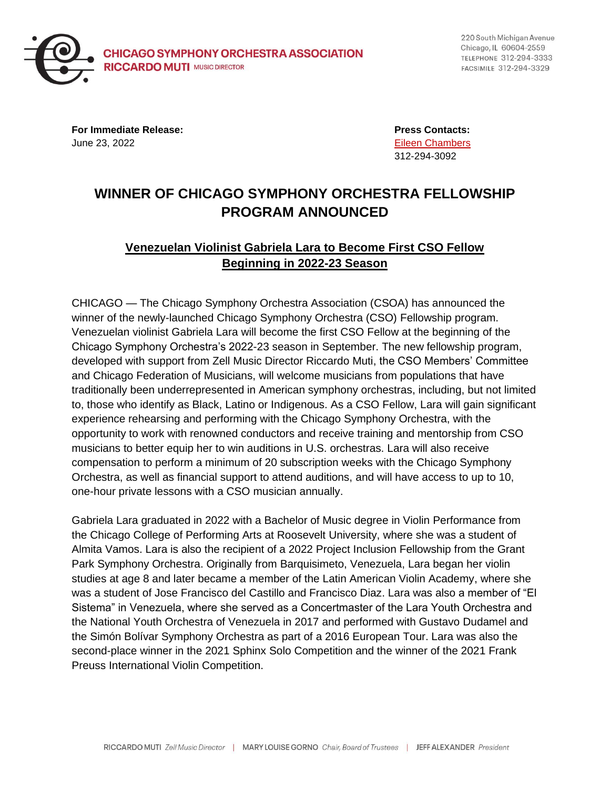

220 South Michigan Avenue Chicago, IL 60604-2559 TELEPHONE 312-294-3333 FACSIMILE 312-294-3329

**For Immediate Release: Press Contacts:** June 23, 2022 [Eileen Chambers](mailto:chamberse@cso.org)

312-294-3092

## **WINNER OF CHICAGO SYMPHONY ORCHESTRA FELLOWSHIP PROGRAM ANNOUNCED**

## **Venezuelan Violinist Gabriela Lara to Become First CSO Fellow Beginning in 2022-23 Season**

CHICAGO — The Chicago Symphony Orchestra Association (CSOA) has announced the winner of the newly-launched Chicago Symphony Orchestra (CSO) Fellowship program. Venezuelan violinist Gabriela Lara will become the first CSO Fellow at the beginning of the Chicago Symphony Orchestra's 2022-23 season in September. The new fellowship program, developed with support from Zell Music Director Riccardo Muti, the CSO Members' Committee and Chicago Federation of Musicians, will welcome musicians from populations that have traditionally been underrepresented in American symphony orchestras, including, but not limited to, those who identify as Black, Latino or Indigenous. As a CSO Fellow, Lara will gain significant experience rehearsing and performing with the Chicago Symphony Orchestra, with the opportunity to work with renowned conductors and receive training and mentorship from CSO musicians to better equip her to win auditions in U.S. orchestras. Lara will also receive compensation to perform a minimum of 20 subscription weeks with the Chicago Symphony Orchestra, as well as financial support to attend auditions, and will have access to up to 10, one-hour private lessons with a CSO musician annually.

Gabriela Lara graduated in 2022 with a Bachelor of Music degree in Violin Performance from the Chicago College of Performing Arts at Roosevelt University, where she was a student of Almita Vamos. Lara is also the recipient of a 2022 Project Inclusion Fellowship from the Grant Park Symphony Orchestra. Originally from Barquisimeto, Venezuela, Lara began her violin studies at age 8 and later became a member of the Latin American Violin Academy, where she was a student of Jose Francisco del Castillo and Francisco Diaz. Lara was also a member of "El Sistema" in Venezuela, where she served as a Concertmaster of the Lara Youth Orchestra and the National Youth Orchestra of Venezuela in 2017 and performed with Gustavo Dudamel and the Simón Bolívar Symphony Orchestra as part of a 2016 European Tour. Lara was also the second-place winner in the 2021 Sphinx Solo Competition and the winner of the 2021 Frank Preuss International Violin Competition.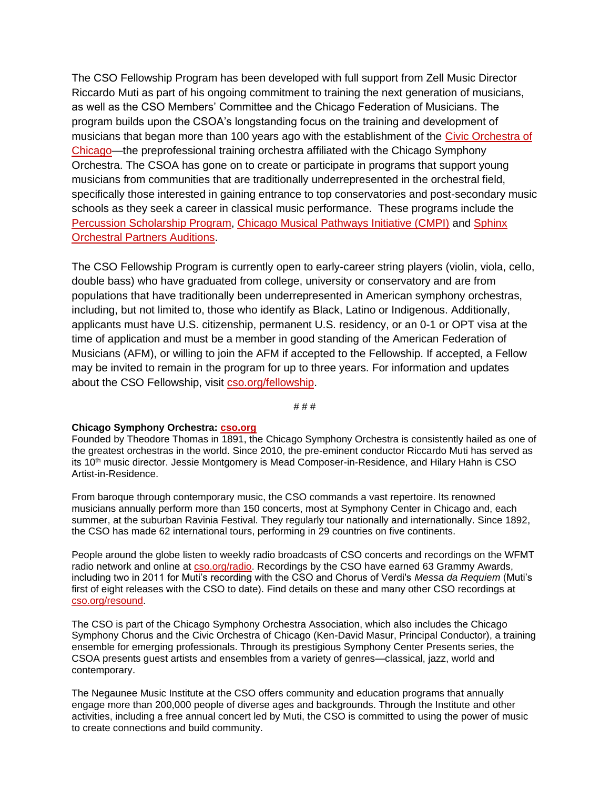The CSO Fellowship Program has been developed with full support from Zell Music Director Riccardo Muti as part of his ongoing commitment to training the next generation of musicians, as well as the CSO Members' Committee and the Chicago Federation of Musicians. The program builds upon the CSOA's longstanding focus on the training and development of musicians that began more than 100 years ago with the establishment of the [Civic Orchestra of](https://cso.org/education-community/musician-training/civic-orchestra-of-chicago/)  [Chicago—](https://cso.org/education-community/musician-training/civic-orchestra-of-chicago/)the preprofessional training orchestra affiliated with the Chicago Symphony Orchestra. The CSOA has gone on to create or participate in programs that support young musicians from communities that are traditionally underrepresented in the orchestral field, specifically those interested in gaining entrance to top conservatories and post-secondary music schools as they seek a career in classical music performance. These programs include the [Percussion Scholarship Program,](https://cso.org/education-community/musician-training/percussion-scholarship-program/learn-about-percussion-scholarship-program/) [Chicago Musical Pathways Initiative \(CMPI\)](https://chicagopathways.org/) and [Sphinx](https://www.sphinxmusic.org/sphinx-orchestral-partners-auditions)  [Orchestral Partners Auditions.](https://www.sphinxmusic.org/sphinx-orchestral-partners-auditions)

The CSO Fellowship Program is currently open to early-career string players (violin, viola, cello, double bass) who have graduated from college, university or conservatory and are from populations that have traditionally been underrepresented in American symphony orchestras, including, but not limited to, those who identify as Black, Latino or Indigenous. Additionally, applicants must have U.S. citizenship, permanent U.S. residency, or an 0-1 or OPT visa at the time of application and must be a member in good standing of the American Federation of Musicians (AFM), or willing to join the AFM if accepted to the Fellowship. If accepted, a Fellow may be invited to remain in the program for up to three years. For information and updates about the CSO Fellowship, visit [cso.org/fellowship.](https://cso.org/fellowship)

# # #

## **Chicago Symphony Orchestra: [cso.org](http://cso.org/)**

Founded by Theodore Thomas in 1891, the Chicago Symphony Orchestra is consistently hailed as one of the greatest orchestras in the world. Since 2010, the pre-eminent conductor Riccardo Muti has served as its 10<sup>th</sup> music director. Jessie Montgomery is Mead Composer-in-Residence, and Hilary Hahn is CSO Artist-in-Residence.

From baroque through contemporary music, the CSO commands a vast repertoire. Its renowned musicians annually perform more than 150 concerts, most at Symphony Center in Chicago and, each summer, at the suburban Ravinia Festival. They regularly tour nationally and internationally. Since 1892, the CSO has made 62 international tours, performing in 29 countries on five continents.

People around the globe listen to weekly radio broadcasts of CSO concerts and recordings on the WFMT radio network and online at [cso.org/radio.](https://cso.org/radio) Recordings by the CSO have earned 63 Grammy Awards, including two in 2011 for Muti's recording with the CSO and Chorus of Verdi's *Messa da Requiem* (Muti's first of eight releases with the CSO to date). Find details on these and many other CSO recordings at [cso.org/resound.](http://www.cso.org/resound)

The CSO is part of the Chicago Symphony Orchestra Association, which also includes the Chicago Symphony Chorus and the Civic Orchestra of Chicago (Ken-David Masur, Principal Conductor), a training ensemble for emerging professionals. Through its prestigious Symphony Center Presents series, the CSOA presents guest artists and ensembles from a variety of genres—classical, jazz, world and contemporary.

The Negaunee Music Institute at the CSO offers community and education programs that annually engage more than 200,000 people of diverse ages and backgrounds. Through the Institute and other activities, including a free annual concert led by Muti, the CSO is committed to using the power of music to create connections and build community.